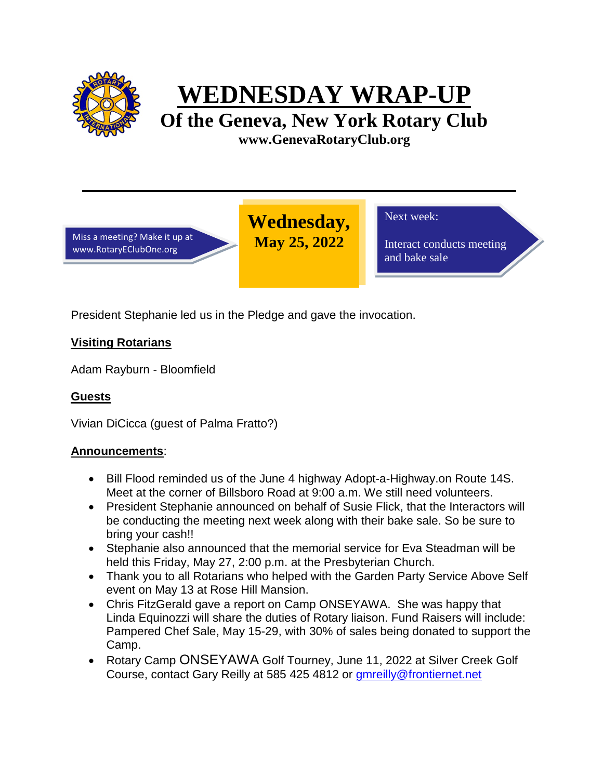

# **WEDNESDAY WRAP-UP**

**Of the Geneva, New York Rotary Club www.GenevaRotaryClub.org**

> **Wednesday, May 25, 2022**

Miss a meeting? Make it up at www.RotaryEClubOne.org

Next week:

Interact conducts meeting and bake sale

President Stephanie led us in the Pledge and gave the invocation.

# **Visiting Rotarians**

Adam Rayburn - Bloomfield

## **Guests**

Vivian DiCicca (guest of Palma Fratto?)

## **Announcements**:

- Bill Flood reminded us of the June 4 highway Adopt-a-Highway.on Route 14S. Meet at the corner of Billsboro Road at 9:00 a.m. We still need volunteers.
- President Stephanie announced on behalf of Susie Flick, that the Interactors will be conducting the meeting next week along with their bake sale. So be sure to bring your cash!!
- Stephanie also announced that the memorial service for Eva Steadman will be held this Friday, May 27, 2:00 p.m. at the Presbyterian Church.
- Thank you to all Rotarians who helped with the Garden Party Service Above Self event on May 13 at Rose Hill Mansion.
- Chris FitzGerald gave a report on Camp ONSEYAWA. She was happy that Linda Equinozzi will share the duties of Rotary liaison. Fund Raisers will include: Pampered Chef Sale, May 15-29, with 30% of sales being donated to support the Camp.
- Rotary Camp ONSEYAWA Golf Tourney, June 11, 2022 at Silver Creek Golf Course, contact Gary Reilly at 585 425 4812 or [gmreilly@frontiernet.net](mailto:gmreilly@frontiernet.net)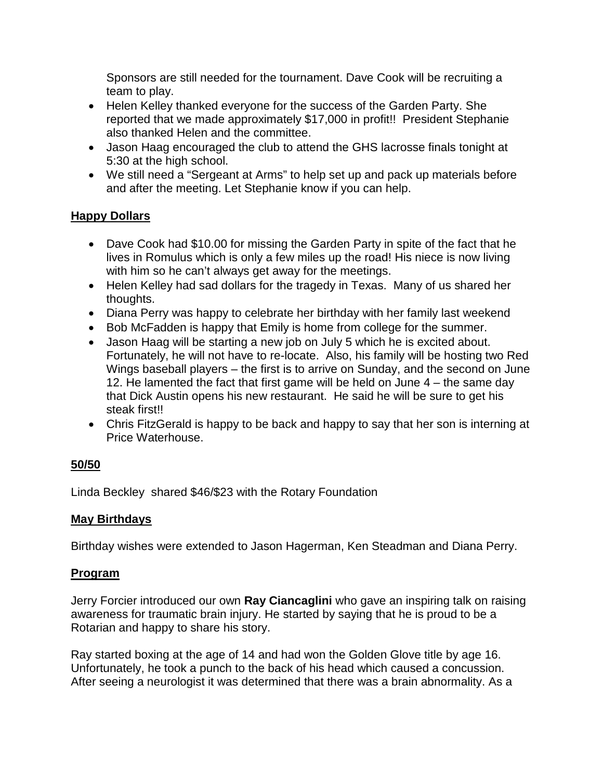Sponsors are still needed for the tournament. Dave Cook will be recruiting a team to play.

- Helen Kelley thanked everyone for the success of the Garden Party. She reported that we made approximately \$17,000 in profit!! President Stephanie also thanked Helen and the committee.
- Jason Haag encouraged the club to attend the GHS lacrosse finals tonight at 5:30 at the high school.
- We still need a "Sergeant at Arms" to help set up and pack up materials before and after the meeting. Let Stephanie know if you can help.

## **Happy Dollars**

- Dave Cook had \$10.00 for missing the Garden Party in spite of the fact that he lives in Romulus which is only a few miles up the road! His niece is now living with him so he can't always get away for the meetings.
- Helen Kelley had sad dollars for the tragedy in Texas. Many of us shared her thoughts.
- Diana Perry was happy to celebrate her birthday with her family last weekend
- Bob McFadden is happy that Emily is home from college for the summer.
- Jason Haag will be starting a new job on July 5 which he is excited about. Fortunately, he will not have to re-locate. Also, his family will be hosting two Red Wings baseball players – the first is to arrive on Sunday, and the second on June 12. He lamented the fact that first game will be held on June 4 – the same day that Dick Austin opens his new restaurant. He said he will be sure to get his steak first!!
- Chris FitzGerald is happy to be back and happy to say that her son is interning at Price Waterhouse.

## **50/50**

Linda Beckley shared \$46/\$23 with the Rotary Foundation

## **May Birthdays**

Birthday wishes were extended to Jason Hagerman, Ken Steadman and Diana Perry.

#### **Program**

Jerry Forcier introduced our own **Ray Ciancaglini** who gave an inspiring talk on raising awareness for traumatic brain injury. He started by saying that he is proud to be a Rotarian and happy to share his story.

Ray started boxing at the age of 14 and had won the Golden Glove title by age 16. Unfortunately, he took a punch to the back of his head which caused a concussion. After seeing a neurologist it was determined that there was a brain abnormality. As a